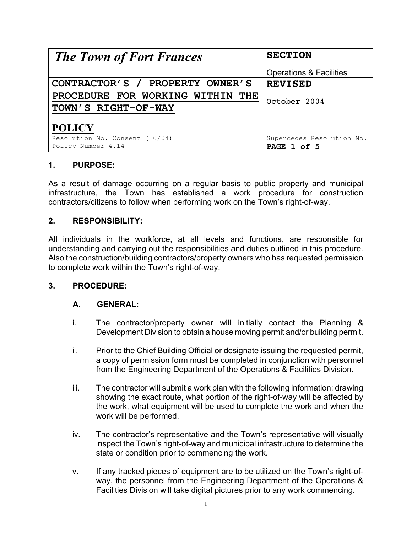| <b>The Town of Fort Frances</b>  | <b>SECTION</b>                     |
|----------------------------------|------------------------------------|
|                                  | <b>Operations &amp; Facilities</b> |
| CONTRACTOR'S / PROPERTY OWNER'S  | <b>REVISED</b>                     |
| PROCEDURE FOR WORKING WITHIN THE | October 2004                       |
| TOWN'S RIGHT-OF-WAY              |                                    |
|                                  |                                    |
| <b>POLICY</b>                    |                                    |
| Resolution No. Consent (10/04)   | Supercedes Resolution No.          |
| Policy Number 4.14               | PAGE 1 of 5                        |

# **1. PURPOSE:**

As a result of damage occurring on a regular basis to public property and municipal infrastructure, the Town has established a work procedure for construction contractors/citizens to follow when performing work on the Town's right-of-way.

# **2. RESPONSIBILITY:**

All individuals in the workforce, at all levels and functions, are responsible for understanding and carrying out the responsibilities and duties outlined in this procedure. Also the construction/building contractors/property owners who has requested permission to complete work within the Town's right-of-way.

## **3. PROCEDURE:**

# **A. GENERAL:**

- i. The contractor/property owner will initially contact the Planning & Development Division to obtain a house moving permit and/or building permit.
- ii. Prior to the Chief Building Official or designate issuing the requested permit, a copy of permission form must be completed in conjunction with personnel from the Engineering Department of the Operations & Facilities Division.
- iii. The contractor will submit a work plan with the following information; drawing showing the exact route, what portion of the right-of-way will be affected by the work, what equipment will be used to complete the work and when the work will be performed.
- iv. The contractor's representative and the Town's representative will visually inspect the Town's right-of-way and municipal infrastructure to determine the state or condition prior to commencing the work.
- v. If any tracked pieces of equipment are to be utilized on the Town's right-ofway, the personnel from the Engineering Department of the Operations & Facilities Division will take digital pictures prior to any work commencing.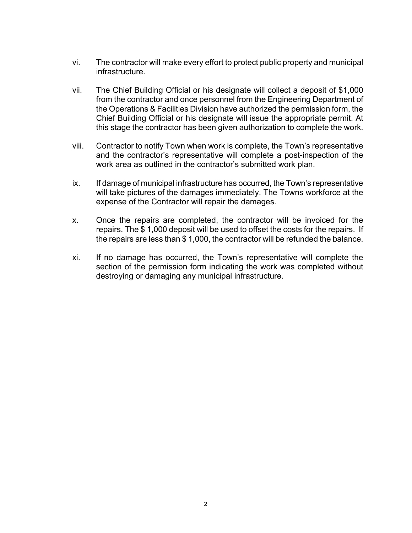- vi. The contractor will make every effort to protect public property and municipal infrastructure.
- vii. The Chief Building Official or his designate will collect a deposit of \$1,000 from the contractor and once personnel from the Engineering Department of the Operations & Facilities Division have authorized the permission form, the Chief Building Official or his designate will issue the appropriate permit. At this stage the contractor has been given authorization to complete the work.
- viii. Contractor to notify Town when work is complete, the Town's representative and the contractor's representative will complete a post-inspection of the work area as outlined in the contractor's submitted work plan.
- ix. If damage of municipal infrastructure has occurred, the Town's representative will take pictures of the damages immediately. The Towns workforce at the expense of the Contractor will repair the damages.
- x. Once the repairs are completed, the contractor will be invoiced for the repairs. The \$ 1,000 deposit will be used to offset the costs for the repairs. If the repairs are less than \$ 1,000, the contractor will be refunded the balance.
- xi. If no damage has occurred, the Town's representative will complete the section of the permission form indicating the work was completed without destroying or damaging any municipal infrastructure.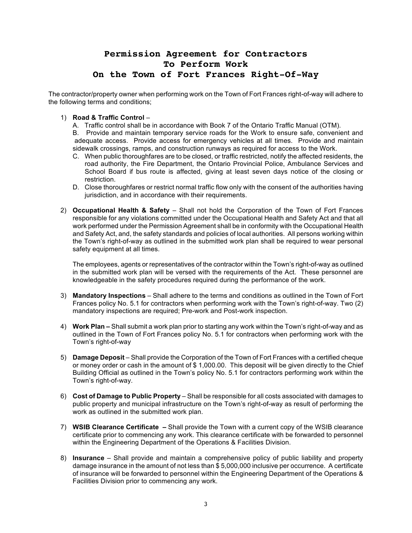# **Permission Agreement for Contractors To Perform Work On the Town of Fort Frances Right-Of-Way**

The contractor/property owner when performing work on the Town of Fort Frances right-of-way will adhere to the following terms and conditions;

### 1) **Road & Traffic Control** –

A. Traffic control shall be in accordance with Book 7 of the Ontario Traffic Manual (OTM).

B. Provide and maintain temporary service roads for the Work to ensure safe, convenient and adequate access. Provide access for emergency vehicles at all times. Provide and maintain sidewalk crossings, ramps, and construction runways as required for access to the Work.

- C. When public thoroughfares are to be closed, or traffic restricted, notify the affected residents, the road authority, the Fire Department, the Ontario Provincial Police, Ambulance Services and School Board if bus route is affected, giving at least seven days notice of the closing or restriction.
- D. Close thoroughfares or restrict normal traffic flow only with the consent of the authorities having jurisdiction, and in accordance with their requirements.
- 2) **Occupational Health & Safety** Shall not hold the Corporation of the Town of Fort Frances responsible for any violations committed under the Occupational Health and Safety Act and that all work performed under the Permission Agreement shall be in conformity with the Occupational Health and Safety Act, and, the safety standards and policies of local authorities. All persons working within the Town's right-of-way as outlined in the submitted work plan shall be required to wear personal safety equipment at all times.

The employees, agents or representatives of the contractor within the Town's right-of-way as outlined in the submitted work plan will be versed with the requirements of the Act. These personnel are knowledgeable in the safety procedures required during the performance of the work.

- 3) **Mandatory Inspections** Shall adhere to the terms and conditions as outlined in the Town of Fort Frances policy No. 5.1 for contractors when performing work with the Town's right-of-way. Two (2) mandatory inspections are required; Pre-work and Post-work inspection.
- 4) **Work Plan –** Shall submit a work plan prior to starting any work within the Town's right-of-way and as outlined in the Town of Fort Frances policy No. 5.1 for contractors when performing work with the Town's right-of-way
- 5) **Damage Deposit** Shall provide the Corporation of the Town of Fort Frances with a certified cheque or money order or cash in the amount of \$ 1,000.00. This deposit will be given directly to the Chief Building Official as outlined in the Town's policy No. 5.1 for contractors performing work within the Town's right-of-way.
- 6) **Cost of Damage to Public Property** Shall be responsible for all costs associated with damages to public property and municipal infrastructure on the Town's right-of-way as result of performing the work as outlined in the submitted work plan.
- 7) **WSIB Clearance Certificate –** Shall provide the Town with a current copy of the WSIB clearance certificate prior to commencing any work. This clearance certificate with be forwarded to personnel within the Engineering Department of the Operations & Facilities Division.
- 8) **Insurance** Shall provide and maintain a comprehensive policy of public liability and property damage insurance in the amount of not less than \$ 5,000,000 inclusive per occurrence. A certificate of insurance will be forwarded to personnel within the Engineering Department of the Operations & Facilities Division prior to commencing any work.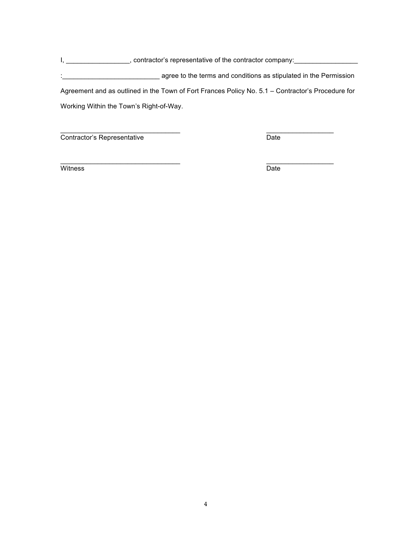I, \_\_\_\_\_\_\_\_\_\_\_\_\_\_\_\_\_\_\_, contractor's representative of the contractor company: \_\_\_\_\_\_\_\_\_\_\_\_\_\_\_\_\_\_\_\_

:\_\_\_\_\_\_\_\_\_\_\_\_\_\_\_\_\_\_\_\_\_\_\_\_\_\_ agree to the terms and conditions as stipulated in the Permission Agreement and as outlined in the Town of Fort Frances Policy No. 5.1 – Contractor's Procedure for

Working Within the Town's Right-of-Way.

 $\overline{\phantom{a}}$  , and the contribution of the contribution of  $\overline{\phantom{a}}$  , and the contribution of  $\overline{\phantom{a}}$ **Contractor's Representative Date** 

Witness Date

 $\overline{\phantom{a}}$  , and the contribution of the contribution of  $\overline{\phantom{a}}$  , and the contribution of  $\overline{\phantom{a}}$